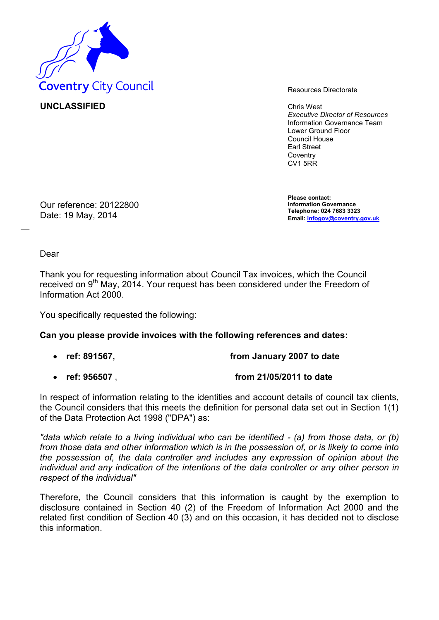

**UNCLASSIFIED** Chris West

*Executive Director of Resources* Information Governance Team Lower Ground Floor Council House Earl Street **Coventry** CV1 5RR

Our reference: 20122800 Date: 19 May, 2014

**Please contact: Information Governance Telephone: 024 7683 3323 Email: [infogov@coventry.gov.uk](mailto:infogov@coventry.gov.uk)**

Dear

Thank you for requesting information about Council Tax invoices, which the Council received on 9<sup>th</sup> May, 2014. Your request has been considered under the Freedom of Information Act 2000.

You specifically requested the following:

## **Can you please provide invoices with the following references and dates:**

- **ref: 891567, from January 2007 to date**
- **ref: 956507 , from 21/05/2011 to date**

In respect of information relating to the identities and account details of council tax clients, the Council considers that this meets the definition for personal data set out in Section 1(1) of the Data Protection Act 1998 ("DPA") as:

*"data which relate to a living individual who can be identified - (a) from those data, or (b) from those data and other information which is in the possession of, or is likely to come into the possession of, the data controller and includes any expression of opinion about the individual and any indication of the intentions of the data controller or any other person in respect of the individual"* 

Therefore, the Council considers that this information is caught by the exemption to disclosure contained in Section 40 (2) of the Freedom of Information Act 2000 and the related first condition of Section 40 (3) and on this occasion, it has decided not to disclose this information.